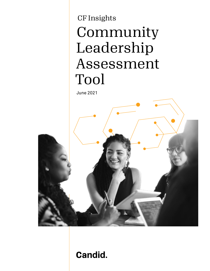# CF Insights Community Leadership Assessment Tool

June 2021



# **Candid.**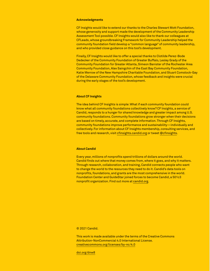### **Acknowledgments**

CF Insights would like to extend our thanks to the Charles Stewart Mott Foundation, whose generosity and support made the development of the Community Leadership Assessment Tool possible. CF Insights would also like to thank our colleagues at CFLeads, whose groundbreaking Framework for Community Leadership helped the community foundation field develop a "common language" of community leadership, and who provided close guidance on this tool's development.

Finally, CF Insights would like to offer a special thanks to Clotilde Perez-Bode Dedecker of the Community Foundation of Greater Buffalo, Lesley Grady of the Community Foundation for Greater Atlanta, Simeon Banister of the Rochester Area Community Foundation, Alex Saingchin of the East Bay Community Foundation, Katie Merrow of the New Hampshire Charitable Foundation, and Stuart Comstock-Gay of the Delaware Community Foundation, whose feedback and insights were crucial during the early stages of the tool's development.

### **About CF Insights**

The idea behind CF Insights is simple: What if each community foundation could know what all community foundations collectively know? CF Insights, a service of Candid, responds to a hunger for shared knowledge and greater impact among U.S. community foundations. Community foundations grow stronger when their decisions are based on timely, accurate, and complete information. Through CF Insights, community foundations improve performance and sustainability—individually and collectively. For information about CF Insights membership, consulting services, and free tools and research, visit [cfinsights.candid.org](https://cfinsights.candid.org/s/) or tweet @cfinsights.

### **About Candid**

Every year, millions of nonprofits spend trillions of dollars around the world. Candid finds out where that money comes from, where it goes, and why it matters. Through research, collaboration, and training, Candid connects people who want to change the world to the resources they need to do it. Candid's data tools on nonprofits, foundations, and grants are the most comprehensive in the world. Foundation Center and GuideStar joined forces to become Candid, a 501c3 nonprofit organization. Find out more at [candid.org](http://candid.org).

© 2021 Candid.

This work is made available under the terms of the Creative Commons Attribution-NonCommercial 4.0 International License. creativecommons.org/licenses/by-nc/4.0

[doi.org/dnw8](http://doi.org/dnw8)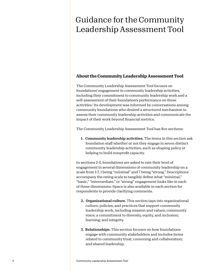# Guidance for the Community Leadership Assessment Tool

# **About the Community Leadership Assessment Tool**

The Community Leadership Assessment Tool focuses on foundations' engagement in community leadership activities, including their commitment to community leadership work and a self-assessment of their foundation's performance on these activities.1 Its development was informed by conversations among community foundations who desired a structured mechanism to assess their community leadership activities and communicate the impact of their work beyond financial metrics.

The Community Leadership Assessment Tool has five sections:

1. Community leadership activities. The items in this section ask foundation staff whether or not they engage in seven distinct community leadership activities, such as shaping policy or helping to build nonprofit capacity.

In sections 2-5, foundations are asked to rate their level of engagement in several dimensions of community leadership on a scale from 1-7, 1 being "minimal" and 7 being "strong." Descriptions accompany the rating scale to tangibly define what "minimal," "basic," "intermediate," or "strong" engagement looks like in each of these dimensions. Space is also available in each section for respondents to provide clarifying comments.

- 2. Organizational culture. This section taps into organizational culture, policies, and practices that support community leadership work, including mission and values; community voice; a commitment to diversity, equity, and inclusion; learning; and integrity.
- 3. Relationships. This section focuses on how foundations engage with community stakeholders and includes items related to community trust; convening and collaboration; and shared leadership.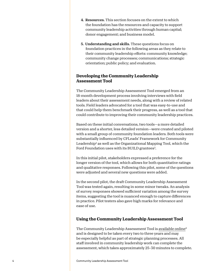- 4. Resources. This section focuses on the extent to which the foundation has the resources and capacity to support community leadership activities through human capital; donor engagement; and business model.
- 5. Understanding and skills. These questions focus on foundation practices in the following areas as they relate to their community leadership efforts: community knowledge; community change processes; communications; strategic orientation; public policy; and evaluation.

# **Developing the Community Leadership Assessment Tool**

The Community Leadership Assessment Tool emerged from an 18-month development process involving interviews with field leaders about their assessment needs, along with a review of related tools. Field leaders advocated for a tool that was easy-to-use and that could help them benchmark their progress, as well as a tool that could contribute to improving their community leadership practices.

Based on these initial conversations, two tools—a more detailed version and a shorter, less detailed version—were created and piloted with a small group of community foundation leaders. Both tools were substantially influenced by CFLeads' Framework for Community Leadership2 as well as the Organizational Mapping Tool, which the Ford Foundation uses with its BUILD grantees<sup>3</sup>.

In this initial pilot, stakeholders expressed a preference for the longer version of the tool, which allows for both quantitative ratings and qualitative responses. Following this pilot, some of the questions were adjusted and several new questions were added.

In the second pilot, the draft Community Leadership Assessment Tool was tested again, resulting in some minor tweaks. An analysis of survey responses showed sufficient variation among the survey items, suggesting the tool is nuanced enough to capture differences in practice. Pilot testers also gave high marks for relevance and ease of use.

# **Using the Community Leadership Assessment Tool**

The Community Leadership Assessment Tool is [available online](http://candid.org/howwelead)4 and is designed to be taken every two to three years and may be especially helpful as part of strategic planning processes. All staff involved in community leadership work can complete the assessment, which takes approximately 25–30 minutes to complete.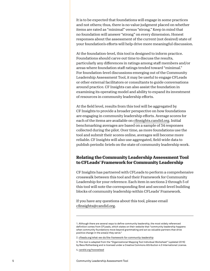It is to be expected that foundations will engage in some practices and not others; thus, there is no value judgment placed on whether items are rated as "minimal" versus "strong." Keep in mind that no foundation will answer "strong" on every dimension. Honest responses about the assessment of the current (not desired) state of your foundation's efforts will help drive more meaningful discussion.

At the foundation-level, this tool is designed to inform practice. Foundations should carve out time to discuss the results, particularly any differences in ratings among staff members and/or areas where foundation staff ratings tended toward "minimal." For foundation-level discussions emerging out of the Community Leadership Assessment Tool, it may be useful to engage CFLeads or other external facilitators or consultants to guide conversations around practice. CF Insights can also assist the foundation in examining its operating model and ability to expand its investment of resources in community leadership efforts.

At the field level, results from this tool will be aggregated by CF Insights to provide a broader perspective on how foundations are engaging in community leadership efforts. Average scores for each of the items are available on [cfinsights.candid.org.](https://cfinsights.candid.org/s/) Initial benchmarking averages are based on a sample of 34 responses collected during the pilot. Over time, as more foundations use the tool and submit their scores online, averages will become more reliable. CF Insights will also use aggregated, field-wide data to publish periodic briefs on the state of community leadership work.

# **Relating the Community Leadership Assessment Tool to CFLeads' Framework for Community Leadership**

CF Insights has partnered with CFLeads to perform a comprehensive crosswalk between this tool and their Framework for Community Leadership for your reference. Each item in sections 2 through 5 of this tool will note the corresponding first and second-level building blocks of community leadership within CFLeads' Framework.

If you have any questions about this tool, please email [cfinsights@candid.org](mailto:cfinsights%40candid.org?subject=Survey).

<sup>1.</sup> Although there are several ways to define community leadership, the most widely referenced definition comes from CFLeads, which states on their website that "community leadership happens when community foundations move beyond grantmaking and act as valuable partners that drive positive change in the area(s) they serve."

<sup>2.</sup> [cfleads.org/what-we-do/the-framework-for-community-leadership](http://cfleads.org/what-we-do/the-framework-for-community-leadership)

<sup>3.</sup> This tool is adapted from the "Organizational Mapping Tool Individual Worksheet" (updated 2016) by Bess Rothenberg and is licensed under a Creative Commons Attribution 4.0 International License.

<sup>4.</sup> [candid.org/howwelead](http://candid.org/howwelead)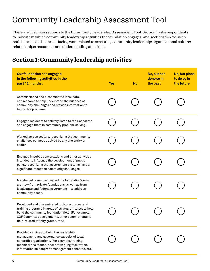# Community Leadership Assessment Tool

There are five main sections to the Community Leadership Assessment Tool. Section 1 asks respondents to indicate in which community leadership activities the foundation engages, and sections 2–5 focus on both internal and external-facing work related to executing community leadership: organizational culture; relationships; resources; and understanding and skills.

# **Section 1: Community leadership activities**

| <b>Our foundation has engaged</b><br>in the following activities in the<br>past 12 months:                                                                                                                                                                      | <b>Yes</b> | <b>No</b> | No, but has<br>done so in<br>the past | No, but plans<br>to do so in<br>the future |
|-----------------------------------------------------------------------------------------------------------------------------------------------------------------------------------------------------------------------------------------------------------------|------------|-----------|---------------------------------------|--------------------------------------------|
| Commissioned and disseminated local data<br>and research to help understand the nuances of<br>community challenges and provide information to<br>help solve problems.                                                                                           |            |           |                                       |                                            |
| Engaged residents to actively listen to their concerns<br>and engage them in community problem-solving.                                                                                                                                                         |            |           |                                       |                                            |
| Worked across sectors, recognizing that community<br>challenges cannot be solved by any one entity or<br>sector.                                                                                                                                                |            |           |                                       |                                            |
| Engaged in public conversations and other activities<br>intended to influence the development of public<br>policy, recognizing that government systems have a<br>significant impact on community challenges.                                                    |            |           |                                       |                                            |
| Marshalled resources beyond the foundation's own<br>grants-from private foundations as well as from<br>local, state and federal government-to address<br>community needs.                                                                                       |            |           |                                       |                                            |
| Developed and disseminated tools, resources, and<br>training programs in areas of strategic interest to help<br>build the community foundation field. (For example,<br>COF Committee assignments, other commitments to<br>field-related affinity groups, etc.). |            |           |                                       |                                            |
| Provided services to build the leadership,<br>management, and governance capacity of local<br>nonprofit organizations. (For example, training,<br>technical assistance, peer networking facilitation,<br>information on nonprofit management concerns, etc.)    |            |           |                                       |                                            |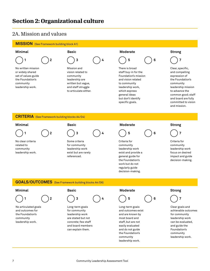# **Section 2: Organizational culture**

# 2A. Mission and values



leadership work.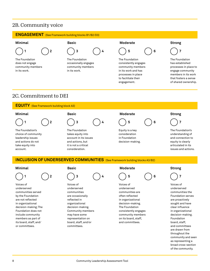# 2B. Community voice

### **ENGAGEMENT** (See Framework building blocks B1/B2/D3)



does not engage community members in its work.



The Foundation occasionally engages community members in its work.



The Foundation consistently engages community members in its work and has processes in place to facilitate their engagement.





The Foundation has established processes in place to engage community members in its work that fosters a sense of shared ownership.

# 2C. Commitment to DEI





Voices of underserved communities served by the Foundation are not reflected in organizational decision-making; The Foundation does not include community members as part of its board, staff, and/ or committees.





Voices of underserved communities are occasionally reflected in organizational decision-making. Community members may have some representation on board, staff, and/or committees.







Voices of underserved communities the Foundation serves are proactively sought and have clear influence in organizational decision-making. Foundation board, staff, and committees are drawn from throughout the community and seen as representing a broad cross-section of the community.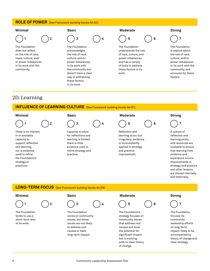### **ROLE OF POWER** (See Framework building blocks A3/D2)

### The Foundation does not reflect on the role of race, class, culture, and/ or power imbalances in its work with the community. The Foundation acknowledges the role of race, culture, and/or power imbalances in its work with the community but doesn't have a clear way of addressing these factors in its work. The Foundation understands the role of race, culture, and power imbalances and has a variety of tools to address these factors in its work. The Foundation is explicit about the role of race, culture, and/or power imbalances in its work with the community, and accounts for these factors.  **1 2 3 4 5 6 7 Minimal Basic Moderate Strong**

# 2D. Learning

## **INFLUENCE OF LEARNING CULTURE** (See Framework building blocks A4/D1)

There is no interest in or available capacity to support reflection and learning, nor is evidence used to refine the Foundation's strategy or practices.



Capacity to allow for reflections and learning is limited; there is little evidence used to refine strategy and practice.



learning occur, but irregularly; evidence is inconsistently applied in strategy and practice improvement.

A culture of reflection and learning exists, and resources are available to ensure that learning from evidence and experience occurs. Improvements in

strategy and practice and other lessons are shared internally and externally.

**LONG-TERM FOCUS** (See Framework building blocks A4/D6)

The Foundation tends to use a short-term lens in its work.



The Foundation works on community issues, but those issues are not likely to address root causes or have long-term impact.

### **Minimal Basic Moderate Strong**



The Foundation's strategy focuses on community issues that address root causes and have the potential for significant impact but is evolving with no clear theory of change.



The Foundation focuses its community leadership efforts on long-term impact; likely to be accompanied by theory of change and clear strategy.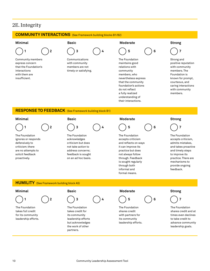# 2E. Integrity

### **COMMUNITY INTERACTIONS** (See Framework building blocks B1/B2)





through both informal and

provide ongoing feedback.

10 Community Leadership Assessment Tool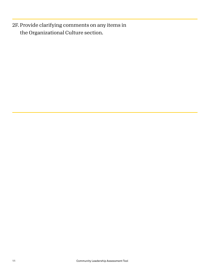2F. Provide clarifying comments on any items in the Organizational Culture section.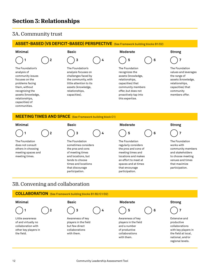# **Section 3: Relationships**

# 3A. Community trust

## **ASSET-BASED (VS DEFICIT-BASED) PERSPECTIVE** (See Framework building blocks B1/D2)

The Foundation's analysis of community issues focuses on the problems facing them, without recognizing the assets (knowledge, relationships, capacities) of communities.

 **1 2 3 4 5 6 7**

The Foundation's analysis focuses on challenges faced by the community, with little attention to its assets (knowledge, relationships, capacities).

### **Minimal Basic Moderate Strong**



The Foundation recognizes the assets (knowledge, relationships, capacities) that community members offer, but does not proactively tap into this expertise.



The Foundation values and leverages the range of assets (knowledge, relationships, capacities) that community members offer.

### **MEETING TIMES AND SPACE** (See Framework building block C1)



The Foundation does not consult others in choosing meeting spaces and meeting times.



The Foundation sometimes considers the pros and cons of meeting times and locations, but tends to choose times and locations that discourage participation.

# **Minimal Basic Moderate Strong**



The Foundation regularly considers the pros and cons of meeting times and locations and makes an effort to meet at spaces and at times that encourage participation.



The Foundation works with community members and stakeholders to choose meeting venues and times that maximize participation.

# 3B. Convening and collaboration

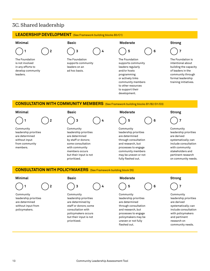# 3C. Shared leadership

### **LEADERSHIP DEVELOPMENT** (See Framework building blocks B3/C1)



Community leadership priorities are determined without input from community members.



Community leadership priorities are determined by staff or donors; some consultation with community members occurs but their input is not prioritized.

```
Community
leadership priorities 
are determined 
through consultation 
and research, but 
processes to engage 
community members 
may be uneven or not 
fully fleshed out.
```
Community leadership priorities are derived systematically; can include consultation with community stakeholders and pertinent research on community needs.

### **CONSULTATION WITH POLICYMAKERS** (See Framework building block D5)



Community leadership priorities are determined without input from policymakers.





Community leadership priorities are determined by staff or donors; some consultation with policymakers occurs but their input is not prioritized.

### **Minimal Basic Moderate Strong**



Community leadership priorities are determined through consultation and research, but processes to engage policymakers may be uneven or not fully fleshed out.



Community leadership priorities are derived systematically; can include consultation with policymakers and pertinent research on community needs.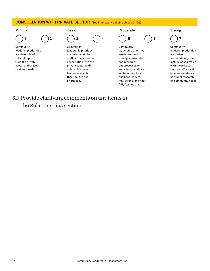

3D. Provide clarifying comments on any items in the Relationships section.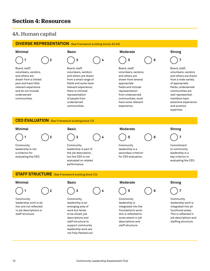# **Section 4: Resources**

# 4A. Human capital

# **DIVERSE REPRESENTATION** (See Framework building blocks A2/A3)

 **1 2 3 4 5 6 7**

Board, staff, volunteers, vendors, and others are drawn from a limited pool and have little relevant experience and do not include underserved communities.



Board, staff, volunteers, vendors and others are drawn from a small range of fields and some have relevant experience; there is minimal representation of people from underserved communities.





Board, staff, volunteers, vendors, and others are drawn from several appropriate fields and include representation from underserved communities; most have some relevant experience.



Board, staff, volunteers, vendors and others are drawn from a wide variety of appropriate fields; underserved communities are well represented; members have extensive experience and practice expertise.

### **CEO EVALUATION** (See Framework building block C3)





Community leadership is not a criterion for evaluating the CEO.

## **Minimal Basic Moderate Strong**



Community leadership is part of the job description, but the CEO is not evaluated on related performance.



Community leadership is a secondary criterion for CEO evaluation.



Commitment to community leadership is a key criterion in evaluating the CEO.

# **STAFF STRUCTURE** (See Framework building block C3)



Community leadership work is ad hoc and not reflected in job descriptions or staff structure.



Community leadership is an emerging area of work but tends to be siloed; job descriptions and staff structure to support community leadership work are not fully fleshed out.

# **Minimal Basic Moderate Strong**



Community leadership is integrated into the Foundation's work; this is reflected to some extent in job descriptions and staff structure.



Community leadership work is integrated into all functional areas. This is reflected in job descriptions and staffing structure.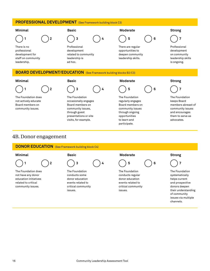## **PROFESSIONAL DEVELOPMENT** (See Framework building block C3)



# **BOARD DEVELOPMENT/EDUCATION** (See Framework building blocks B2/C3)



The Foundation does not actively educate Board members on community issues.





The Foundation occasionally engages Board members on community issues, through guest presentations or site visits, for example.



The Foundation regularly engages Board members on community issues through ongoing opportunities to learn and participate.





The Foundation keeps Board members abreast of community issues and encourages them to serve as advocates.

# 4B. Donor engagement

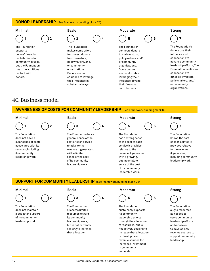### **DONOR LEADERSHIP** (See Framework building block C4)

### The Foundation supports donors' financial contributions to community causes, but the Foundation has little additional contact with donors. The Foundation makes some effort to connect donors to co-investors, policymakers, and/ or community organizations. Donors are not equipped to leverage their influence in substantial ways. The Foundation connects donors to co-investors, policymakers, and/ or community organizations. Some donors are comfortable leveraging their influence beyond their financial  **1 2 3 4 5 6 7 Minimal Basic Moderate Strong**

# 4C. Business model

# **AWARENESS OF COSTS FOR COMMUNITY LEADERSHIP** (See Framework building block C5)

### **Minimal Basic Moderate Strong**

The Foundation does not have a clear sense of costs associated with its services, including its community leadership work.



The Foundation has a general sense of the cost of each service relative to the revenue it generates, with a limited sense of the cost of its community leadership work.

contributions.

The Foundation has a strong sense of the cost of each service it provides relative to the revenue it generates, with a growing, but incomplete, sense of the cost of its community leadership work.

The Foundation's donors use their influence and connections to advance community leadership efforts; The Foundation facilitates connections to other co-investors, policymakers, and/ or community organizations.

The Foundation knows the cost of each service it provides relative to the revenue it generates, including community leadership work.

# **SUPPORT FOR COMMUNITY LEADERSHIP** (See Framework building block C5)



The Foundation does not maintain a budget in support of its community leadership work.



The Foundation allocates limited resources toward its community leadership work, but is not currently seeking to increase that allocation.

### **Minimal Basic Moderate Strong**



The Foundation sustainably supports its community leadership efforts through the allocation of resources, but is not actively seeking to increase that allocation or develop new revenue sources for increased investment in community leadership.



The Foundation aligns resources as needed to serve community leadership efforts and/or seeks to develop new revenue sources to support community leadership.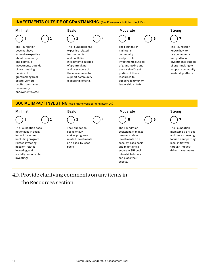### **INVESTMENTS OUTSIDE OF GRANTMAKING** (See Framework building block D4)



The Foundation does not have extensive expertise about community and portfolio investments outside of grantmaking outside of grantmaking (real estate, venture capital, permanent community endowments, etc.).



The Foundation has expertise related to community and portfolio investments outside of grantmaking and uses some of these resources to support community leadership efforts.



The Foundation maintains community and portfolio investments outside of grantmaking and uses a significant portion of these resources to support community leadership efforts.



The Foundation knows how to use community and portfolio investments outside of grantmaking to support community leadership efforts.

### **SOCIAL IMPACT INVESTING** (See Framework building block D4)



# 4D. Provide clarifying comments on any items in

the Resources section.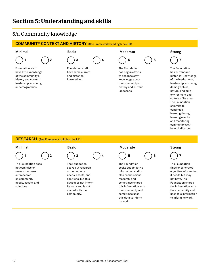# **Section 5: Understanding and skills**

# 5A. Community knowledge

# **COMMUNITY CONTEXT AND HISTORY** (See Framework building block D1)



Foundation staff have little knowledge of the community's history and current leadership, economy, or demographics.



Foundation staff have some current and historical knowledge.

### **Minimal Basic Moderate Strong**



The Foundation has begun efforts to enhance staff knowledge about the community's history and current landscape.



The Foundation has current and historical knowledge of the institutions, leadership, economy, demographics, natural and built environment and culture of its area. The Foundation commits to continued learning through learning events and monitoring community wellbeing indicators.

### **RESEARCH** (See Framework building block D1)



The Foundation does not commission research or seek out research on community needs, assets, and solutions.



The Foundation seeks out research on community needs, assets, and solutions, but this data does not inform its work and is not shared with the community.

# **Minimal Basic Moderate Strong**



The Foundation seeks out objective information and/or also commissions research, and sometimes shares this information with the community and sometimes uses this data to inform its work.



The Foundation finds or generates objective information it needs but may not have. The Foundation shares the information with the community and uses this information to inform its work.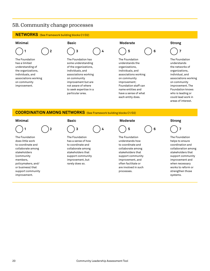# 5B. Community change processes

### **NETWORKS** (See Framework building blocks C1/D2)



The Foundation has a limited understanding of the organizations, individuals, and associations working on community improvement.



The Foundation has some understanding of the organizations, individuals, and associations working on community improvement but are not aware of where to seek expertise in a particular area.



The Foundation understands the organizations, individuals, and associations working on community improvement; Foundation staff can name entities and have a sense of what each entity does.



The Foundation understands the networks of organizations, individual, and associations working on community improvement. The Foundation knows who is leading or could lead work in areas of interest.

## **COORDINATION AMONG NETWORKS** (See Framework building blocks C1/D2)



The Foundation does little work to coordinate and collaborate among stakeholders (community members, policymakers, and/ or business) that support community improvement.



The Foundation has a sense of how to coordinate and collaborate among stakeholders that support community improvement, but rarely does so.



The Foundation understands how to coordinate and collaborate among stakeholders that support community improvement, and often facilitate or are involved in such processes.



The Foundation helps to ensure coordination and collaboration among stakeholders that support community improvement and when necessary works to reform or strengthen those systems.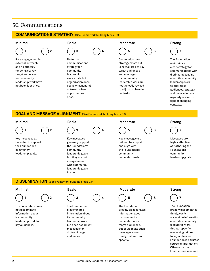# 5C. Communications

### **COMMUNICATIONS STRATEGY** (See Framework building block D3)



Rare engagement in external outreach and no strategy for doing so; key target audiences for community leadership work have not been identified.



No formal communications strategy for community leadership work exists but organization does occasional general outreach when opportunities arise.

### **Minimal Basic Moderate Strong**



Communications strategy exists but is not tailored to key target audiences and messages for community leadership work are not typically revised to adjust to changing contexts.



The Foundation maintains a clear strategy for communications with distinct messaging about its community leadership work to prioritized audiences; strategy and messaging are regularly revised in light of changing contexts.

### **GOAL AND MESSAGE ALIGNMENT** (See Framework building block D3)



Key messages at times fail to support the Foundation's community leadership goals.



Key messages generally support the Foundation's community leadership goals but they are not always tailored with community leadership goals in mind.



Key messages are tailored to support and align with the Foundation's community leadership goals.



Messages are highly effective at furthering the Foundation's community leadership goals.

### **DISSEMINATION** (See Framework building block D3)



The Foundation does not disseminate information about is community leadership work to key audiences.

 **1 2 3 4 5 6 7**

The Foundation disseminates information about its community leadership work but does not adjust messages for different target audiences.

### **Minimal Basic Moderate Strong**



The Foundation broadly disseminates information about its community leadership work to target audiences, but could make such messages more timely, tailored, and specific.



The Foundation broadly disseminates timely, easily accessible information about its community leadership work through specific messaging tailored to key audiences. Foundation is a trusted source of information; Others cite the Foundation's research.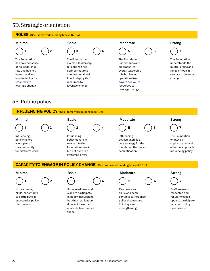# 5D. Strategic orientation

## **ROLES** (See Framework building blocks C2/D4)





The Foundation has no clear sense of its leadership role and has not operationalized how to deploy its resources to leverage change.



The Foundation claims a leadership role but has not defined that role or operationalized how to deploy its resources to leverage change.





The Foundation understands and embraces its overall leadership role but has not operationalized how to deploy its resources to leverage change.



The Foundation understands the multiple roles and range of tools it can use to leverage change.

# 5E. Public policy



# **CAPACITY TO ENGAGE IN POLICY CHANGE** (See Framework building blocks C3/D5)





No readiness, skills, or contacts to participate in substantive policy discussions.



Some readiness and skills to participate in policy discussions, but the organization does not have the contacts to influence them.

**Minimal Basic Moderate Strong** 

skills and some contacts to influence policy discussions but they need strengthening.



- 
- 

Staff are wellrespected and regularly called upon to participate in or lead policy discussions.

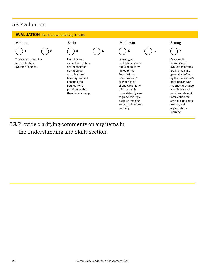# 5F. Evaluation

# **EVALUATION** (See Framework building block D6)



learning.

# 5G. Provide clarifying comments on any items in the Understanding and Skills section.